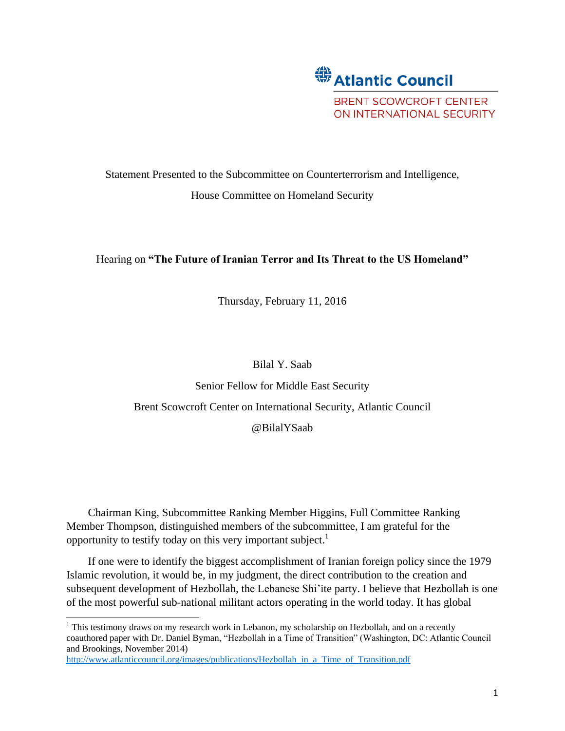

# Statement Presented to the Subcommittee on Counterterrorism and Intelligence, House Committee on Homeland Security

# Hearing on **"The Future of Iranian Terror and Its Threat to the US Homeland"**

Thursday, February 11, 2016

### Bilal Y. Saab

Senior Fellow for Middle East Security Brent Scowcroft Center on International Security, Atlantic Council @BilalYSaab

Chairman King, Subcommittee Ranking Member Higgins, Full Committee Ranking Member Thompson, distinguished members of the subcommittee, I am grateful for the opportunity to testify today on this very important subject.<sup>1</sup>

If one were to identify the biggest accomplishment of Iranian foreign policy since the 1979 Islamic revolution, it would be, in my judgment, the direct contribution to the creation and subsequent development of Hezbollah, the Lebanese Shi'ite party. I believe that Hezbollah is one of the most powerful sub-national militant actors operating in the world today. It has global

<sup>&</sup>lt;sup>1</sup> This testimony draws on my research work in Lebanon, my scholarship on Hezbollah, and on a recently coauthored paper with Dr. Daniel Byman, "Hezbollah in a Time of Transition" (Washington, DC: Atlantic Council and Brookings, November 2014)

[http://www.atlanticcouncil.org/images/publications/Hezbollah\\_in\\_a\\_Time\\_of\\_Transition.pdf](http://www.atlanticcouncil.org/images/publications/Hezbollah_in_a_Time_of_Transition.pdf)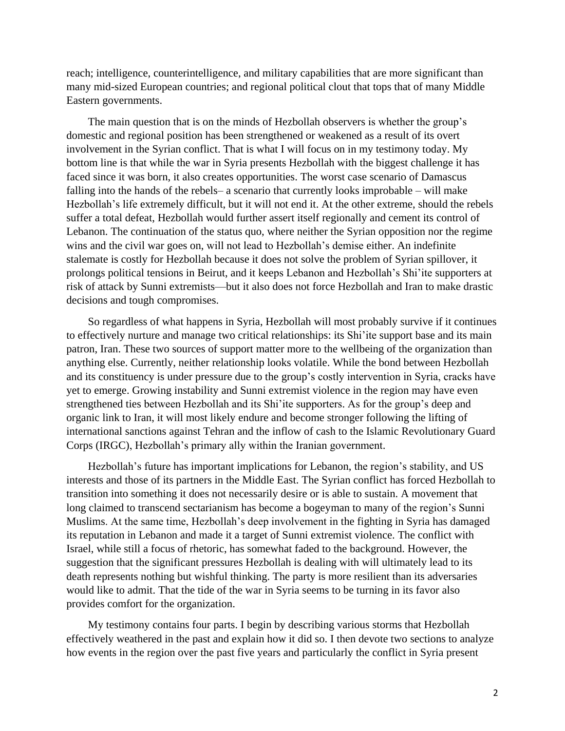reach; intelligence, counterintelligence, and military capabilities that are more significant than many mid-sized European countries; and regional political clout that tops that of many Middle Eastern governments.

The main question that is on the minds of Hezbollah observers is whether the group's domestic and regional position has been strengthened or weakened as a result of its overt involvement in the Syrian conflict. That is what I will focus on in my testimony today. My bottom line is that while the war in Syria presents Hezbollah with the biggest challenge it has faced since it was born, it also creates opportunities. The worst case scenario of Damascus falling into the hands of the rebels– a scenario that currently looks improbable – will make Hezbollah's life extremely difficult, but it will not end it. At the other extreme, should the rebels suffer a total defeat, Hezbollah would further assert itself regionally and cement its control of Lebanon. The continuation of the status quo, where neither the Syrian opposition nor the regime wins and the civil war goes on, will not lead to Hezbollah's demise either. An indefinite stalemate is costly for Hezbollah because it does not solve the problem of Syrian spillover, it prolongs political tensions in Beirut, and it keeps Lebanon and Hezbollah's Shi'ite supporters at risk of attack by Sunni extremists—but it also does not force Hezbollah and Iran to make drastic decisions and tough compromises.

So regardless of what happens in Syria, Hezbollah will most probably survive if it continues to effectively nurture and manage two critical relationships: its Shi'ite support base and its main patron, Iran. These two sources of support matter more to the wellbeing of the organization than anything else. Currently, neither relationship looks volatile. While the bond between Hezbollah and its constituency is under pressure due to the group's costly intervention in Syria, cracks have yet to emerge. Growing instability and Sunni extremist violence in the region may have even strengthened ties between Hezbollah and its Shi'ite supporters. As for the group's deep and organic link to Iran, it will most likely endure and become stronger following the lifting of international sanctions against Tehran and the inflow of cash to the Islamic Revolutionary Guard Corps (IRGC), Hezbollah's primary ally within the Iranian government.

Hezbollah's future has important implications for Lebanon, the region's stability, and US interests and those of its partners in the Middle East. The Syrian conflict has forced Hezbollah to transition into something it does not necessarily desire or is able to sustain. A movement that long claimed to transcend sectarianism has become a bogeyman to many of the region's Sunni Muslims. At the same time, Hezbollah's deep involvement in the fighting in Syria has damaged its reputation in Lebanon and made it a target of Sunni extremist violence. The conflict with Israel, while still a focus of rhetoric, has somewhat faded to the background. However, the suggestion that the significant pressures Hezbollah is dealing with will ultimately lead to its death represents nothing but wishful thinking. The party is more resilient than its adversaries would like to admit. That the tide of the war in Syria seems to be turning in its favor also provides comfort for the organization.

My testimony contains four parts. I begin by describing various storms that Hezbollah effectively weathered in the past and explain how it did so. I then devote two sections to analyze how events in the region over the past five years and particularly the conflict in Syria present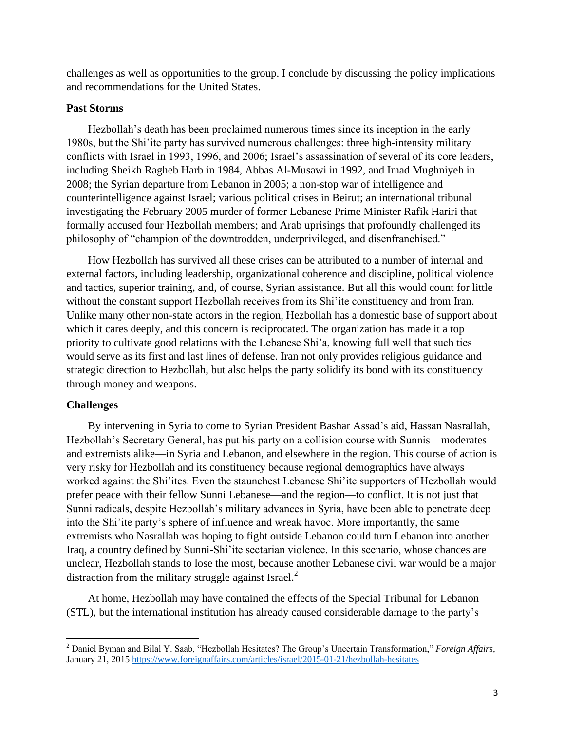challenges as well as opportunities to the group. I conclude by discussing the policy implications and recommendations for the United States.

#### **Past Storms**

Hezbollah's death has been proclaimed numerous times since its inception in the early 1980s, but the Shi'ite party has survived numerous challenges: three high-intensity military conflicts with Israel in 1993, 1996, and 2006; Israel's assassination of several of its core leaders, including Sheikh Ragheb Harb in 1984, Abbas Al-Musawi in 1992, and Imad Mughniyeh in 2008; the Syrian departure from Lebanon in 2005; a non-stop war of intelligence and counterintelligence against Israel; various political crises in Beirut; an international tribunal investigating the February 2005 murder of former Lebanese Prime Minister Rafik Hariri that formally accused four Hezbollah members; and Arab uprisings that profoundly challenged its philosophy of "champion of the downtrodden, underprivileged, and disenfranchised."

How Hezbollah has survived all these crises can be attributed to a number of internal and external factors, including leadership, organizational coherence and discipline, political violence and tactics, superior training, and, of course, Syrian assistance. But all this would count for little without the constant support Hezbollah receives from its Shi'ite constituency and from Iran. Unlike many other non-state actors in the region, Hezbollah has a domestic base of support about which it cares deeply, and this concern is reciprocated. The organization has made it a top priority to cultivate good relations with the Lebanese Shi'a, knowing full well that such ties would serve as its first and last lines of defense. Iran not only provides religious guidance and strategic direction to Hezbollah, but also helps the party solidify its bond with its constituency through money and weapons.

#### **Challenges**

 $\overline{a}$ 

By intervening in Syria to come to Syrian President Bashar Assad's aid, Hassan Nasrallah, Hezbollah's Secretary General, has put his party on a collision course with Sunnis—moderates and extremists alike—in Syria and Lebanon, and elsewhere in the region. This course of action is very risky for Hezbollah and its constituency because regional demographics have always worked against the Shi'ites. Even the staunchest Lebanese Shi'ite supporters of Hezbollah would prefer peace with their fellow Sunni Lebanese—and the region—to conflict. It is not just that Sunni radicals, despite Hezbollah's military advances in Syria, have been able to penetrate deep into the Shi'ite party's sphere of influence and wreak havoc. More importantly, the same extremists who Nasrallah was hoping to fight outside Lebanon could turn Lebanon into another Iraq, a country defined by Sunni-Shi'ite sectarian violence. In this scenario, whose chances are unclear, Hezbollah stands to lose the most, because another Lebanese civil war would be a major distraction from the military struggle against Israel. $^{2}$ 

At home, Hezbollah may have contained the effects of the Special Tribunal for Lebanon (STL), but the international institution has already caused considerable damage to the party's

<sup>2</sup> Daniel Byman and Bilal Y. Saab, "Hezbollah Hesitates? The Group's Uncertain Transformation," *Foreign Affairs*, January 21, 2015<https://www.foreignaffairs.com/articles/israel/2015-01-21/hezbollah-hesitates>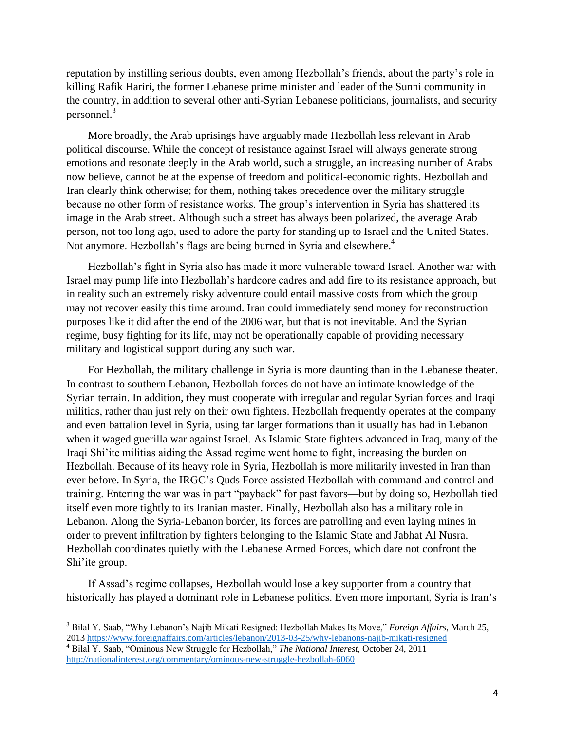reputation by instilling serious doubts, even among Hezbollah's friends, about the party's role in killing Rafik Hariri, the former Lebanese prime minister and leader of the Sunni community in the country, in addition to several other anti-Syrian Lebanese politicians, journalists, and security personnel.<sup>3</sup>

More broadly, the Arab uprisings have arguably made Hezbollah less relevant in Arab political discourse. While the concept of resistance against Israel will always generate strong emotions and resonate deeply in the Arab world, such a struggle, an increasing number of Arabs now believe, cannot be at the expense of freedom and political-economic rights. Hezbollah and Iran clearly think otherwise; for them, nothing takes precedence over the military struggle because no other form of resistance works. The group's intervention in Syria has shattered its image in the Arab street. Although such a street has always been polarized, the average Arab person, not too long ago, used to adore the party for standing up to Israel and the United States. Not anymore. Hezbollah's flags are being burned in Syria and elsewhere.<sup>4</sup>

Hezbollah's fight in Syria also has made it more vulnerable toward Israel. Another war with Israel may pump life into Hezbollah's hardcore cadres and add fire to its resistance approach, but in reality such an extremely risky adventure could entail massive costs from which the group may not recover easily this time around. Iran could immediately send money for reconstruction purposes like it did after the end of the 2006 war, but that is not inevitable. And the Syrian regime, busy fighting for its life, may not be operationally capable of providing necessary military and logistical support during any such war.

For Hezbollah, the military challenge in Syria is more daunting than in the Lebanese theater. In contrast to southern Lebanon, Hezbollah forces do not have an intimate knowledge of the Syrian terrain. In addition, they must cooperate with irregular and regular Syrian forces and Iraqi militias, rather than just rely on their own fighters. Hezbollah frequently operates at the company and even battalion level in Syria, using far larger formations than it usually has had in Lebanon when it waged guerilla war against Israel. As Islamic State fighters advanced in Iraq, many of the Iraqi Shi'ite militias aiding the Assad regime went home to fight, increasing the burden on Hezbollah. Because of its heavy role in Syria, Hezbollah is more militarily invested in Iran than ever before. In Syria, the IRGC's Quds Force assisted Hezbollah with command and control and training. Entering the war was in part "payback" for past favors—but by doing so, Hezbollah tied itself even more tightly to its Iranian master. Finally, Hezbollah also has a military role in Lebanon. Along the Syria-Lebanon border, its forces are patrolling and even laying mines in order to prevent infiltration by fighters belonging to the Islamic State and Jabhat Al Nusra. Hezbollah coordinates quietly with the Lebanese Armed Forces, which dare not confront the Shi'ite group.

If Assad's regime collapses, Hezbollah would lose a key supporter from a country that historically has played a dominant role in Lebanese politics. Even more important, Syria is Iran's

<sup>3</sup> Bilal Y. Saab, "Why Lebanon's Najib Mikati Resigned: Hezbollah Makes Its Move," *Foreign Affairs*, March 25, 201[3 https://www.foreignaffairs.com/articles/lebanon/2013-03-25/why-lebanons-najib-mikati-resigned](https://www.foreignaffairs.com/articles/lebanon/2013-03-25/why-lebanons-najib-mikati-resigned)

<sup>4</sup> Bilal Y. Saab, "Ominous New Struggle for Hezbollah," *The National Interest*, October 24, 2011 <http://nationalinterest.org/commentary/ominous-new-struggle-hezbollah-6060>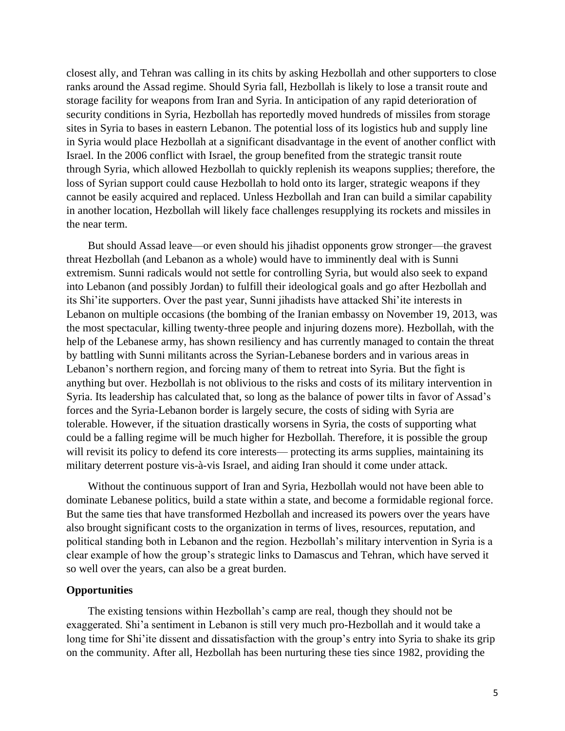closest ally, and Tehran was calling in its chits by asking Hezbollah and other supporters to close ranks around the Assad regime. Should Syria fall, Hezbollah is likely to lose a transit route and storage facility for weapons from Iran and Syria. In anticipation of any rapid deterioration of security conditions in Syria, Hezbollah has reportedly moved hundreds of missiles from storage sites in Syria to bases in eastern Lebanon. The potential loss of its logistics hub and supply line in Syria would place Hezbollah at a significant disadvantage in the event of another conflict with Israel. In the 2006 conflict with Israel, the group benefited from the strategic transit route through Syria, which allowed Hezbollah to quickly replenish its weapons supplies; therefore, the loss of Syrian support could cause Hezbollah to hold onto its larger, strategic weapons if they cannot be easily acquired and replaced. Unless Hezbollah and Iran can build a similar capability in another location, Hezbollah will likely face challenges resupplying its rockets and missiles in the near term.

But should Assad leave—or even should his jihadist opponents grow stronger—the gravest threat Hezbollah (and Lebanon as a whole) would have to imminently deal with is Sunni extremism. Sunni radicals would not settle for controlling Syria, but would also seek to expand into Lebanon (and possibly Jordan) to fulfill their ideological goals and go after Hezbollah and its Shi'ite supporters. Over the past year, Sunni jihadists have attacked Shi'ite interests in Lebanon on multiple occasions (the bombing of the Iranian embassy on November 19, 2013, was the most spectacular, killing twenty-three people and injuring dozens more). Hezbollah, with the help of the Lebanese army, has shown resiliency and has currently managed to contain the threat by battling with Sunni militants across the Syrian-Lebanese borders and in various areas in Lebanon's northern region, and forcing many of them to retreat into Syria. But the fight is anything but over. Hezbollah is not oblivious to the risks and costs of its military intervention in Syria. Its leadership has calculated that, so long as the balance of power tilts in favor of Assad's forces and the Syria-Lebanon border is largely secure, the costs of siding with Syria are tolerable. However, if the situation drastically worsens in Syria, the costs of supporting what could be a falling regime will be much higher for Hezbollah. Therefore, it is possible the group will revisit its policy to defend its core interests— protecting its arms supplies, maintaining its military deterrent posture vis-à-vis Israel, and aiding Iran should it come under attack.

Without the continuous support of Iran and Syria, Hezbollah would not have been able to dominate Lebanese politics, build a state within a state, and become a formidable regional force. But the same ties that have transformed Hezbollah and increased its powers over the years have also brought significant costs to the organization in terms of lives, resources, reputation, and political standing both in Lebanon and the region. Hezbollah's military intervention in Syria is a clear example of how the group's strategic links to Damascus and Tehran, which have served it so well over the years, can also be a great burden.

## **Opportunities**

The existing tensions within Hezbollah's camp are real, though they should not be exaggerated. Shi'a sentiment in Lebanon is still very much pro-Hezbollah and it would take a long time for Shi'ite dissent and dissatisfaction with the group's entry into Syria to shake its grip on the community. After all, Hezbollah has been nurturing these ties since 1982, providing the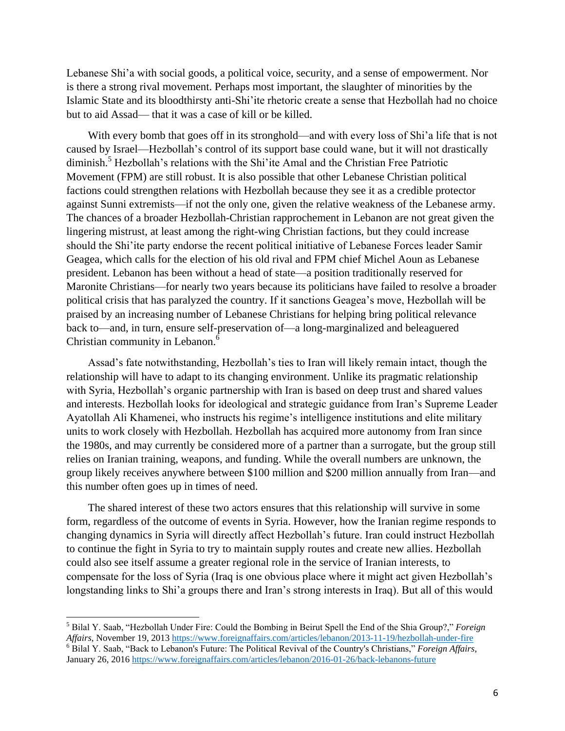Lebanese Shi'a with social goods, a political voice, security, and a sense of empowerment. Nor is there a strong rival movement. Perhaps most important, the slaughter of minorities by the Islamic State and its bloodthirsty anti-Shi'ite rhetoric create a sense that Hezbollah had no choice but to aid Assad— that it was a case of kill or be killed.

With every bomb that goes off in its stronghold—and with every loss of Shi'a life that is not caused by Israel—Hezbollah's control of its support base could wane, but it will not drastically diminish. <sup>5</sup> Hezbollah's relations with the Shi'ite Amal and the Christian Free Patriotic Movement (FPM) are still robust. It is also possible that other Lebanese Christian political factions could strengthen relations with Hezbollah because they see it as a credible protector against Sunni extremists—if not the only one, given the relative weakness of the Lebanese army. The chances of a broader Hezbollah-Christian rapprochement in Lebanon are not great given the lingering mistrust, at least among the right-wing Christian factions, but they could increase should the Shi'ite party endorse the recent political initiative of Lebanese Forces leader Samir Geagea, which calls for the election of his old rival and FPM chief Michel Aoun as Lebanese president. Lebanon has been without a head of state—a position traditionally reserved for Maronite Christians—for nearly two years because its politicians have failed to resolve a broader political crisis that has paralyzed the country. If it sanctions Geagea's move, Hezbollah will be praised by an increasing number of Lebanese Christians for helping bring political relevance back to—and, in turn, ensure self-preservation of—a long-marginalized and beleaguered Christian community in Lebanon. 6

Assad's fate notwithstanding, Hezbollah's ties to Iran will likely remain intact, though the relationship will have to adapt to its changing environment. Unlike its pragmatic relationship with Syria, Hezbollah's organic partnership with Iran is based on deep trust and shared values and interests. Hezbollah looks for ideological and strategic guidance from Iran's Supreme Leader Ayatollah Ali Khamenei, who instructs his regime's intelligence institutions and elite military units to work closely with Hezbollah. Hezbollah has acquired more autonomy from Iran since the 1980s, and may currently be considered more of a partner than a surrogate, but the group still relies on Iranian training, weapons, and funding. While the overall numbers are unknown, the group likely receives anywhere between \$100 million and \$200 million annually from Iran—and this number often goes up in times of need.

The shared interest of these two actors ensures that this relationship will survive in some form, regardless of the outcome of events in Syria. However, how the Iranian regime responds to changing dynamics in Syria will directly affect Hezbollah's future. Iran could instruct Hezbollah to continue the fight in Syria to try to maintain supply routes and create new allies. Hezbollah could also see itself assume a greater regional role in the service of Iranian interests, to compensate for the loss of Syria (Iraq is one obvious place where it might act given Hezbollah's longstanding links to Shi'a groups there and Iran's strong interests in Iraq). But all of this would

<sup>5</sup> Bilal Y. Saab, "Hezbollah Under Fire: Could the Bombing in Beirut Spell the End of the Shia Group?," *Foreign Affairs*, November 19, 2013<https://www.foreignaffairs.com/articles/lebanon/2013-11-19/hezbollah-under-fire>

<sup>&</sup>lt;sup>6</sup> Bilal Y. Saab, "Back to Lebanon's Future: The Political Revival of the Country's Christians," *Foreign Affairs*, January 26, 2016<https://www.foreignaffairs.com/articles/lebanon/2016-01-26/back-lebanons-future>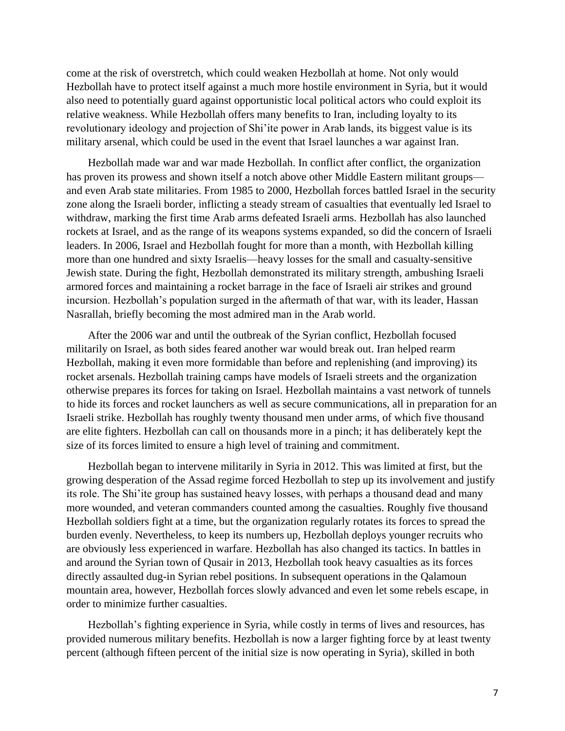come at the risk of overstretch, which could weaken Hezbollah at home. Not only would Hezbollah have to protect itself against a much more hostile environment in Syria, but it would also need to potentially guard against opportunistic local political actors who could exploit its relative weakness. While Hezbollah offers many benefits to Iran, including loyalty to its revolutionary ideology and projection of Shi'ite power in Arab lands, its biggest value is its military arsenal, which could be used in the event that Israel launches a war against Iran.

Hezbollah made war and war made Hezbollah. In conflict after conflict, the organization has proven its prowess and shown itself a notch above other Middle Eastern militant groups and even Arab state militaries. From 1985 to 2000, Hezbollah forces battled Israel in the security zone along the Israeli border, inflicting a steady stream of casualties that eventually led Israel to withdraw, marking the first time Arab arms defeated Israeli arms. Hezbollah has also launched rockets at Israel, and as the range of its weapons systems expanded, so did the concern of Israeli leaders. In 2006, Israel and Hezbollah fought for more than a month, with Hezbollah killing more than one hundred and sixty Israelis—heavy losses for the small and casualty-sensitive Jewish state. During the fight, Hezbollah demonstrated its military strength, ambushing Israeli armored forces and maintaining a rocket barrage in the face of Israeli air strikes and ground incursion. Hezbollah's population surged in the aftermath of that war, with its leader, Hassan Nasrallah, briefly becoming the most admired man in the Arab world.

After the 2006 war and until the outbreak of the Syrian conflict, Hezbollah focused militarily on Israel, as both sides feared another war would break out. Iran helped rearm Hezbollah, making it even more formidable than before and replenishing (and improving) its rocket arsenals. Hezbollah training camps have models of Israeli streets and the organization otherwise prepares its forces for taking on Israel. Hezbollah maintains a vast network of tunnels to hide its forces and rocket launchers as well as secure communications, all in preparation for an Israeli strike. Hezbollah has roughly twenty thousand men under arms, of which five thousand are elite fighters. Hezbollah can call on thousands more in a pinch; it has deliberately kept the size of its forces limited to ensure a high level of training and commitment.

Hezbollah began to intervene militarily in Syria in 2012. This was limited at first, but the growing desperation of the Assad regime forced Hezbollah to step up its involvement and justify its role. The Shi'ite group has sustained heavy losses, with perhaps a thousand dead and many more wounded, and veteran commanders counted among the casualties. Roughly five thousand Hezbollah soldiers fight at a time, but the organization regularly rotates its forces to spread the burden evenly. Nevertheless, to keep its numbers up, Hezbollah deploys younger recruits who are obviously less experienced in warfare. Hezbollah has also changed its tactics. In battles in and around the Syrian town of Qusair in 2013, Hezbollah took heavy casualties as its forces directly assaulted dug-in Syrian rebel positions. In subsequent operations in the Qalamoun mountain area, however, Hezbollah forces slowly advanced and even let some rebels escape, in order to minimize further casualties.

Hezbollah's fighting experience in Syria, while costly in terms of lives and resources, has provided numerous military benefits. Hezbollah is now a larger fighting force by at least twenty percent (although fifteen percent of the initial size is now operating in Syria), skilled in both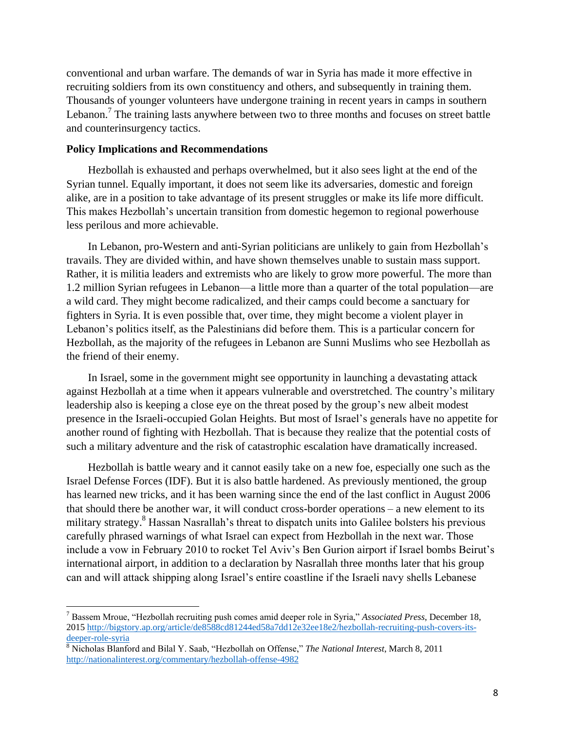conventional and urban warfare. The demands of war in Syria has made it more effective in recruiting soldiers from its own constituency and others, and subsequently in training them. Thousands of younger volunteers have undergone training in recent years in camps in southern Lebanon.<sup>7</sup> The training lasts anywhere between two to three months and focuses on street battle and counterinsurgency tactics.

#### **Policy Implications and Recommendations**

 $\overline{a}$ 

Hezbollah is exhausted and perhaps overwhelmed, but it also sees light at the end of the Syrian tunnel. Equally important, it does not seem like its adversaries, domestic and foreign alike, are in a position to take advantage of its present struggles or make its life more difficult. This makes Hezbollah's uncertain transition from domestic hegemon to regional powerhouse less perilous and more achievable.

In Lebanon, pro-Western and anti-Syrian politicians are unlikely to gain from Hezbollah's travails. They are divided within, and have shown themselves unable to sustain mass support. Rather, it is militia leaders and extremists who are likely to grow more powerful. The more than 1.2 million Syrian refugees in Lebanon—a little more than a quarter of the total population—are a wild card. They might become radicalized, and their camps could become a sanctuary for fighters in Syria. It is even possible that, over time, they might become a violent player in Lebanon's politics itself, as the Palestinians did before them. This is a particular concern for Hezbollah, as the majority of the refugees in Lebanon are Sunni Muslims who see Hezbollah as the friend of their enemy.

In Israel, some in the government might see opportunity in launching a devastating attack against Hezbollah at a time when it appears vulnerable and overstretched. The country's military leadership also is keeping a close eye on the threat posed by the group's new albeit modest presence in the Israeli-occupied Golan Heights. But most of Israel's generals have no appetite for another round of fighting with Hezbollah. That is because they realize that the potential costs of such a military adventure and the risk of catastrophic escalation have dramatically increased.

Hezbollah is battle weary and it cannot easily take on a new foe, especially one such as the Israel Defense Forces (IDF). But it is also battle hardened. As previously mentioned, the group has learned new tricks, and it has been warning since the end of the last conflict in August 2006 that should there be another war, it will conduct cross-border operations – a new element to its military strategy.<sup>8</sup> Hassan Nasrallah's threat to dispatch units into Galilee bolsters his previous carefully phrased warnings of what Israel can expect from Hezbollah in the next war. Those include a vow in February 2010 to rocket Tel Aviv's Ben Gurion airport if Israel bombs Beirut's international airport, in addition to a declaration by Nasrallah three months later that his group can and will attack shipping along Israel's entire coastline if the Israeli navy shells Lebanese

<sup>7</sup> Bassem Mroue, "Hezbollah recruiting push comes amid deeper role in Syria," *Associated Press*, December 18, 201[5 http://bigstory.ap.org/article/de8588cd81244ed58a7dd12e32ee18e2/hezbollah-recruiting-push-covers-its](http://bigstory.ap.org/article/de8588cd81244ed58a7dd12e32ee18e2/hezbollah-recruiting-push-covers-its-deeper-role-syria)[deeper-role-syria](http://bigstory.ap.org/article/de8588cd81244ed58a7dd12e32ee18e2/hezbollah-recruiting-push-covers-its-deeper-role-syria)

<sup>8</sup> Nicholas Blanford and Bilal Y. Saab, "Hezbollah on Offense," *The National Interest*, March 8, 2011 <http://nationalinterest.org/commentary/hezbollah-offense-4982>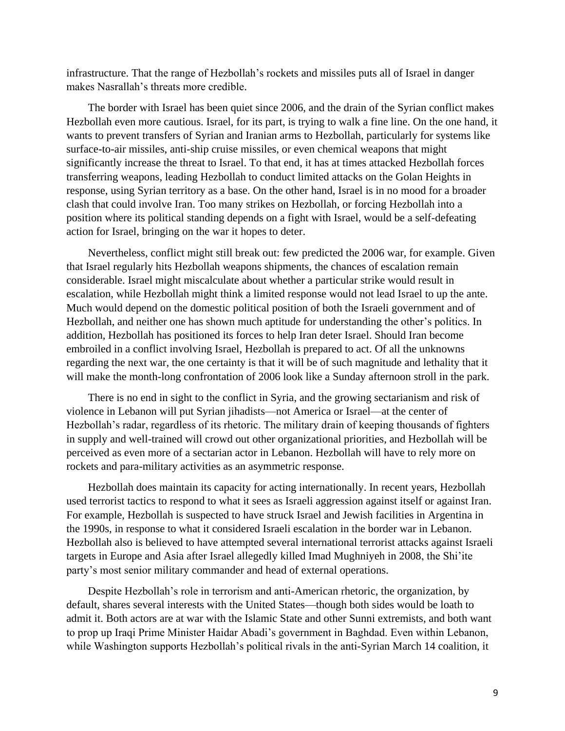infrastructure. That the range of Hezbollah's rockets and missiles puts all of Israel in danger makes Nasrallah's threats more credible.

The border with Israel has been quiet since 2006, and the drain of the Syrian conflict makes Hezbollah even more cautious. Israel, for its part, is trying to walk a fine line. On the one hand, it wants to prevent transfers of Syrian and Iranian arms to Hezbollah, particularly for systems like surface-to-air missiles, anti-ship cruise missiles, or even chemical weapons that might significantly increase the threat to Israel. To that end, it has at times attacked Hezbollah forces transferring weapons, leading Hezbollah to conduct limited attacks on the Golan Heights in response, using Syrian territory as a base. On the other hand, Israel is in no mood for a broader clash that could involve Iran. Too many strikes on Hezbollah, or forcing Hezbollah into a position where its political standing depends on a fight with Israel, would be a self-defeating action for Israel, bringing on the war it hopes to deter.

Nevertheless, conflict might still break out: few predicted the 2006 war, for example. Given that Israel regularly hits Hezbollah weapons shipments, the chances of escalation remain considerable. Israel might miscalculate about whether a particular strike would result in escalation, while Hezbollah might think a limited response would not lead Israel to up the ante. Much would depend on the domestic political position of both the Israeli government and of Hezbollah, and neither one has shown much aptitude for understanding the other's politics. In addition, Hezbollah has positioned its forces to help Iran deter Israel. Should Iran become embroiled in a conflict involving Israel, Hezbollah is prepared to act. Of all the unknowns regarding the next war, the one certainty is that it will be of such magnitude and lethality that it will make the month-long confrontation of 2006 look like a Sunday afternoon stroll in the park.

There is no end in sight to the conflict in Syria, and the growing sectarianism and risk of violence in Lebanon will put Syrian jihadists—not America or Israel—at the center of Hezbollah's radar, regardless of its rhetoric. The military drain of keeping thousands of fighters in supply and well-trained will crowd out other organizational priorities, and Hezbollah will be perceived as even more of a sectarian actor in Lebanon. Hezbollah will have to rely more on rockets and para-military activities as an asymmetric response.

Hezbollah does maintain its capacity for acting internationally. In recent years, Hezbollah used terrorist tactics to respond to what it sees as Israeli aggression against itself or against Iran. For example, Hezbollah is suspected to have struck Israel and Jewish facilities in Argentina in the 1990s, in response to what it considered Israeli escalation in the border war in Lebanon. Hezbollah also is believed to have attempted several international terrorist attacks against Israeli targets in Europe and Asia after Israel allegedly killed Imad Mughniyeh in 2008, the Shi'ite party's most senior military commander and head of external operations.

Despite Hezbollah's role in terrorism and anti-American rhetoric, the organization, by default, shares several interests with the United States—though both sides would be loath to admit it. Both actors are at war with the Islamic State and other Sunni extremists, and both want to prop up Iraqi Prime Minister Haidar Abadi's government in Baghdad. Even within Lebanon, while Washington supports Hezbollah's political rivals in the anti-Syrian March 14 coalition, it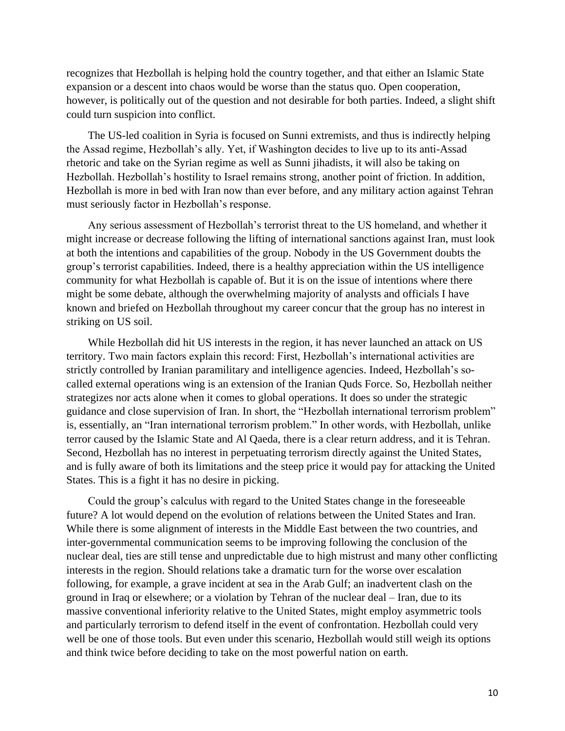recognizes that Hezbollah is helping hold the country together, and that either an Islamic State expansion or a descent into chaos would be worse than the status quo. Open cooperation, however, is politically out of the question and not desirable for both parties. Indeed, a slight shift could turn suspicion into conflict.

The US-led coalition in Syria is focused on Sunni extremists, and thus is indirectly helping the Assad regime, Hezbollah's ally. Yet, if Washington decides to live up to its anti-Assad rhetoric and take on the Syrian regime as well as Sunni jihadists, it will also be taking on Hezbollah. Hezbollah's hostility to Israel remains strong, another point of friction. In addition, Hezbollah is more in bed with Iran now than ever before, and any military action against Tehran must seriously factor in Hezbollah's response.

Any serious assessment of Hezbollah's terrorist threat to the US homeland, and whether it might increase or decrease following the lifting of international sanctions against Iran, must look at both the intentions and capabilities of the group. Nobody in the US Government doubts the group's terrorist capabilities. Indeed, there is a healthy appreciation within the US intelligence community for what Hezbollah is capable of. But it is on the issue of intentions where there might be some debate, although the overwhelming majority of analysts and officials I have known and briefed on Hezbollah throughout my career concur that the group has no interest in striking on US soil.

While Hezbollah did hit US interests in the region, it has never launched an attack on US territory. Two main factors explain this record: First, Hezbollah's international activities are strictly controlled by Iranian paramilitary and intelligence agencies. Indeed, Hezbollah's socalled external operations wing is an extension of the Iranian Quds Force. So, Hezbollah neither strategizes nor acts alone when it comes to global operations. It does so under the strategic guidance and close supervision of Iran. In short, the "Hezbollah international terrorism problem" is, essentially, an "Iran international terrorism problem." In other words, with Hezbollah, unlike terror caused by the Islamic State and Al Qaeda, there is a clear return address, and it is Tehran. Second, Hezbollah has no interest in perpetuating terrorism directly against the United States, and is fully aware of both its limitations and the steep price it would pay for attacking the United States. This is a fight it has no desire in picking.

Could the group's calculus with regard to the United States change in the foreseeable future? A lot would depend on the evolution of relations between the United States and Iran. While there is some alignment of interests in the Middle East between the two countries, and inter-governmental communication seems to be improving following the conclusion of the nuclear deal, ties are still tense and unpredictable due to high mistrust and many other conflicting interests in the region. Should relations take a dramatic turn for the worse over escalation following, for example, a grave incident at sea in the Arab Gulf; an inadvertent clash on the ground in Iraq or elsewhere; or a violation by Tehran of the nuclear deal – Iran, due to its massive conventional inferiority relative to the United States, might employ asymmetric tools and particularly terrorism to defend itself in the event of confrontation. Hezbollah could very well be one of those tools. But even under this scenario, Hezbollah would still weigh its options and think twice before deciding to take on the most powerful nation on earth.